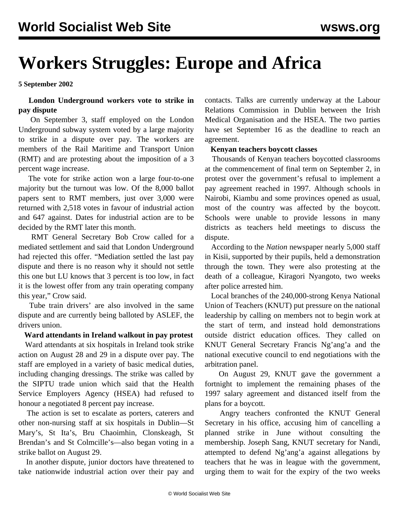# **Workers Struggles: Europe and Africa**

**5 September 2002**

### **London Underground workers vote to strike in pay dispute**

 On September 3, staff employed on the London Underground subway system voted by a large majority to strike in a dispute over pay. The workers are members of the Rail Maritime and Transport Union (RMT) and are protesting about the imposition of a 3 percent wage increase.

 The vote for strike action won a large four-to-one majority but the turnout was low. Of the 8,000 ballot papers sent to RMT members, just over 3,000 were returned with 2,518 votes in favour of industrial action and 647 against. Dates for industrial action are to be decided by the RMT later this month.

 RMT General Secretary Bob Crow called for a mediated settlement and said that London Underground had rejected this offer. "Mediation settled the last pay dispute and there is no reason why it should not settle this one but LU knows that 3 percent is too low, in fact it is the lowest offer from any train operating company this year," Crow said.

 Tube train drivers' are also involved in the same dispute and are currently being balloted by ASLEF, the drivers union.

#### **Ward attendants in Ireland walkout in pay protest**

 Ward attendants at six hospitals in Ireland took strike action on August 28 and 29 in a dispute over pay. The staff are employed in a variety of basic medical duties, including changing dressings. The strike was called by the SIPTU trade union which said that the Health Service Employers Agency (HSEA) had refused to honour a negotiated 8 percent pay increase.

 The action is set to escalate as porters, caterers and other non-nursing staff at six hospitals in Dublin—St Mary's, St Ita's, Bru Chaoimhin, Clonskeagh, St Brendan's and St Colmcille's—also began voting in a strike ballot on August 29.

 In another dispute, junior doctors have threatened to take nationwide industrial action over their pay and contacts. Talks are currently underway at the Labour Relations Commission in Dublin between the Irish Medical Organisation and the HSEA. The two parties have set September 16 as the deadline to reach an agreement.

#### **Kenyan teachers boycott classes**

 Thousands of Kenyan teachers boycotted classrooms at the commencement of final term on September 2, in protest over the government's refusal to implement a pay agreement reached in 1997. Although schools in Nairobi, Kiambu and some provinces opened as usual, most of the country was affected by the boycott. Schools were unable to provide lessons in many districts as teachers held meetings to discuss the dispute.

 According to the *Nation* newspaper nearly 5,000 staff in Kisii, supported by their pupils, held a demonstration through the town. They were also protesting at the death of a colleague, Kiragori Nyangoto, two weeks after police arrested him.

 Local branches of the 240,000-strong Kenya National Union of Teachers (KNUT) put pressure on the national leadership by calling on members not to begin work at the start of term, and instead hold demonstrations outside district education offices. They called on KNUT General Secretary Francis Ng'ang'a and the national executive council to end negotiations with the arbitration panel.

 On August 29, KNUT gave the government a fortnight to implement the remaining phases of the 1997 salary agreement and distanced itself from the plans for a boycott.

 Angry teachers confronted the KNUT General Secretary in his office, accusing him of cancelling a planned strike in June without consulting the membership. Joseph Sang, KNUT secretary for Nandi, attempted to defend Ng'ang'a against allegations by teachers that he was in league with the government, urging them to wait for the expiry of the two weeks